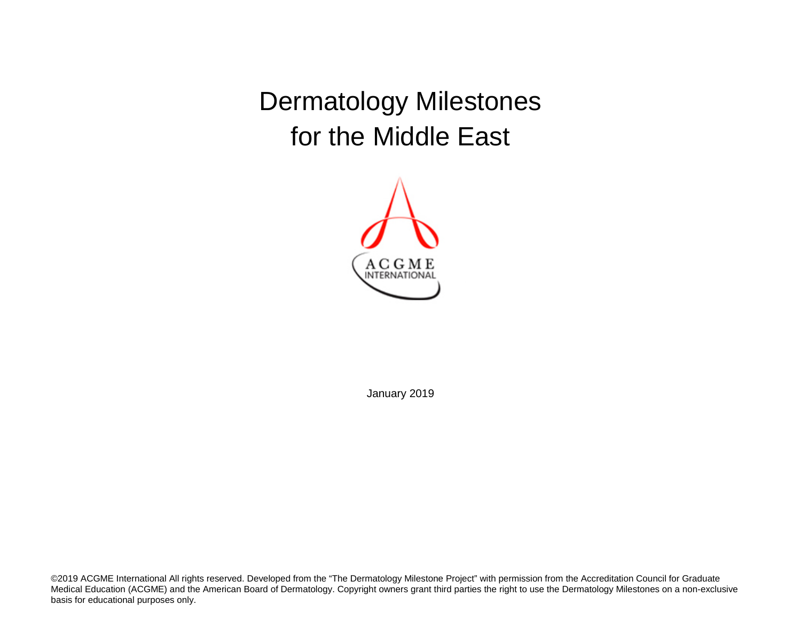Dermatology Milestones for the Middle East



January 2019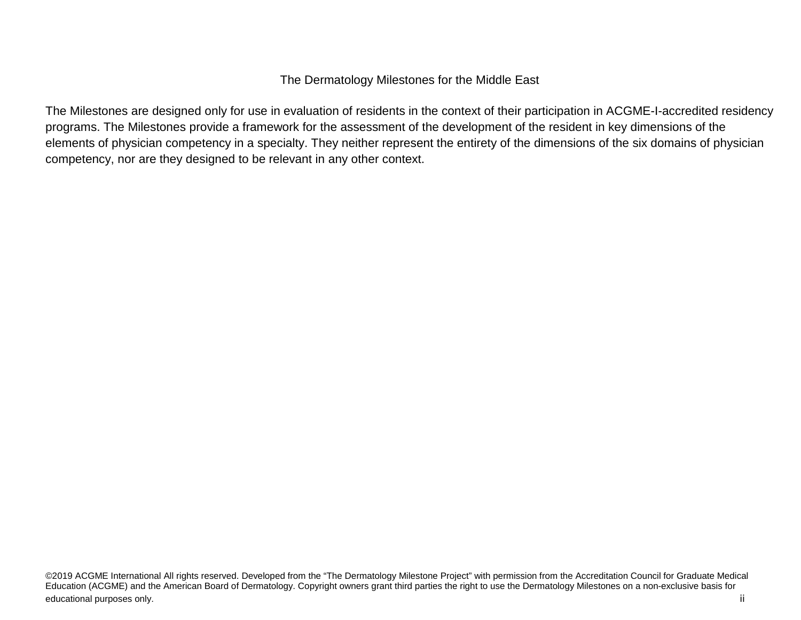## The Dermatology Milestones for the Middle East

The Milestones are designed only for use in evaluation of residents in the context of their participation in ACGME-I-accredited residency programs. The Milestones provide a framework for the assessment of the development of the resident in key dimensions of the elements of physician competency in a specialty. They neither represent the entirety of the dimensions of the six domains of physician competency, nor are they designed to be relevant in any other context.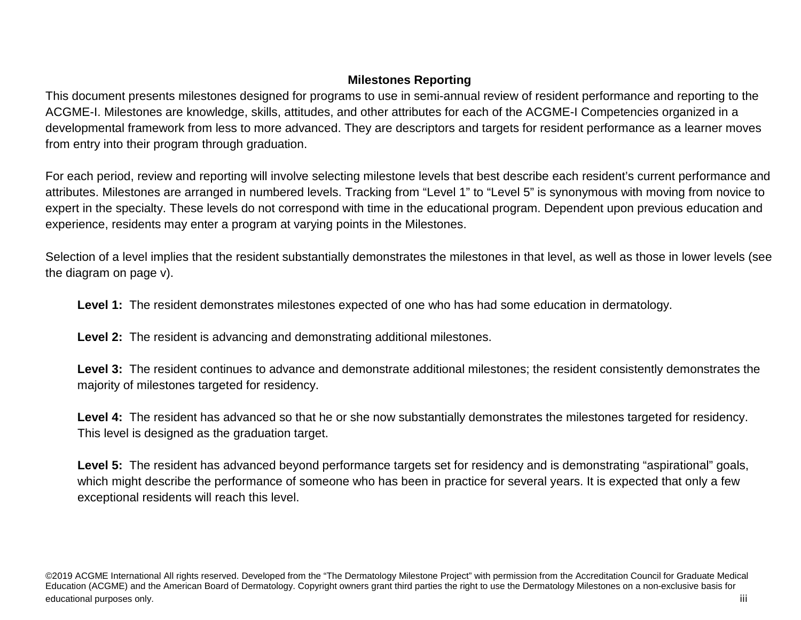# **Milestones Reporting**

This document presents milestones designed for programs to use in semi-annual review of resident performance and reporting to the ACGME-I. Milestones are knowledge, skills, attitudes, and other attributes for each of the ACGME-I Competencies organized in a developmental framework from less to more advanced. They are descriptors and targets for resident performance as a learner moves from entry into their program through graduation.

For each period, review and reporting will involve selecting milestone levels that best describe each resident's current performance and attributes. Milestones are arranged in numbered levels. Tracking from "Level 1" to "Level 5" is synonymous with moving from novice to expert in the specialty. These levels do not correspond with time in the educational program. Dependent upon previous education and experience, residents may enter a program at varying points in the Milestones.

Selection of a level implies that the resident substantially demonstrates the milestones in that level, as well as those in lower levels (see the diagram on page v).

**Level 1:** The resident demonstrates milestones expected of one who has had some education in dermatology.

**Level 2:** The resident is advancing and demonstrating additional milestones.

Level 3: The resident continues to advance and demonstrate additional milestones; the resident consistently demonstrates the majority of milestones targeted for residency.

**Level 4:** The resident has advanced so that he or she now substantially demonstrates the milestones targeted for residency. This level is designed as the graduation target.

Level 5: The resident has advanced beyond performance targets set for residency and is demonstrating "aspirational" goals, which might describe the performance of someone who has been in practice for several years. It is expected that only a few exceptional residents will reach this level.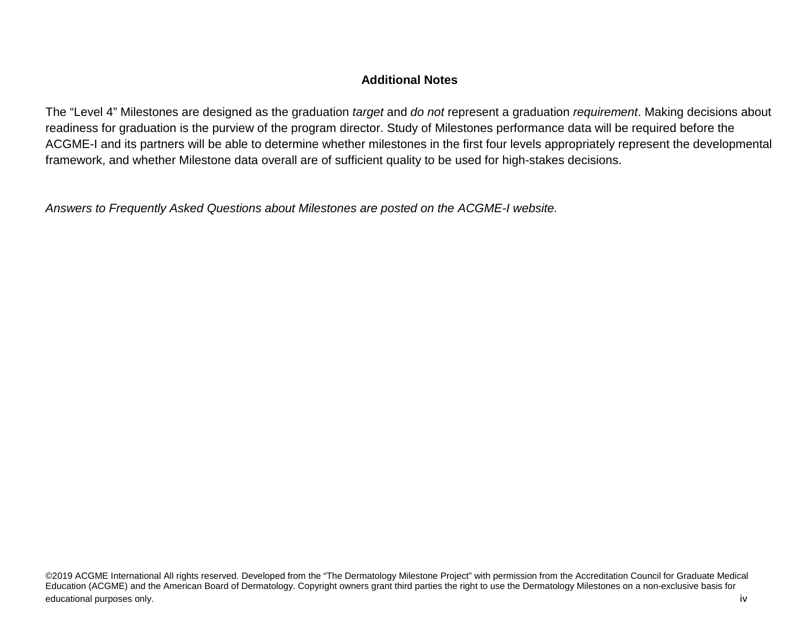## **Additional Notes**

The "Level 4" Milestones are designed as the graduation *target* and *do not* represent a graduation *requirement*. Making decisions about readiness for graduation is the purview of the program director. Study of Milestones performance data will be required before the ACGME-I and its partners will be able to determine whether milestones in the first four levels appropriately represent the developmental framework, and whether Milestone data overall are of sufficient quality to be used for high-stakes decisions.

*Answers to Frequently Asked Questions about Milestones are posted on the ACGME-I website.*

©2019 ACGME International All rights reserved. Developed from the "The Dermatology Milestone Project" with permission from the Accreditation Council for Graduate Medical Education (ACGME) and the American Board of Dermatology. Copyright owners grant third parties the right to use the Dermatology Milestones on a non-exclusive basis for educational purposes only. **iverally** a structure of the structure of the structure of the structure of the structure of the structure of the structure of the structure of the structure of the structure of the structure of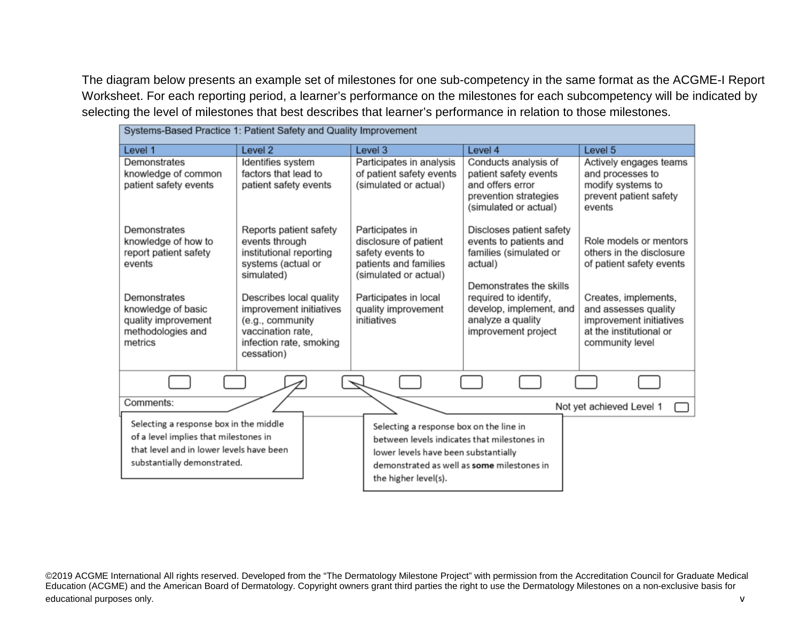The diagram below presents an example set of milestones for one sub-competency in the same format as the ACGME-I Report Worksheet. For each reporting period, a learner's performance on the milestones for each subcompetency will be indicated by selecting the level of milestones that best describes that learner's performance in relation to those milestones.

| Systems-Based Practice 1: Patient Safety and Quality Improvement                                                                                           |                                                                                                                                      |                                                                                                                                                                                                      |                                                                                                                     |                                                                                                                       |
|------------------------------------------------------------------------------------------------------------------------------------------------------------|--------------------------------------------------------------------------------------------------------------------------------------|------------------------------------------------------------------------------------------------------------------------------------------------------------------------------------------------------|---------------------------------------------------------------------------------------------------------------------|-----------------------------------------------------------------------------------------------------------------------|
| Level 1                                                                                                                                                    | Level <sub>2</sub>                                                                                                                   | Level 3                                                                                                                                                                                              | Level 4                                                                                                             | Level 5                                                                                                               |
| Demonstrates<br>knowledge of common<br>patient safety events                                                                                               | Identifies system<br>factors that lead to<br>patient safety events                                                                   | Participates in analysis<br>of patient safety events<br>(simulated or actual)                                                                                                                        | Conducts analysis of<br>patient safety events<br>and offers error<br>prevention strategies<br>(simulated or actual) | Actively engages teams<br>and processes to<br>modify systems to<br>prevent patient safety<br>events                   |
| Demonstrates<br>knowledge of how to<br>report patient safety<br>events                                                                                     | Reports patient safety<br>events through<br>institutional reporting<br>systems (actual or<br>simulated)                              | Participates in<br>disclosure of patient<br>safety events to<br>patients and families<br>(simulated or actual)                                                                                       | Discloses patient safety<br>events to patients and<br>families (simulated or<br>actual)<br>Demonstrates the skills  | Role models or mentors<br>others in the disclosure<br>of patient safety events                                        |
| Demonstrates<br>knowledge of basic<br>quality improvement<br>methodologies and<br>metrics                                                                  | Describes local quality<br>improvement initiatives<br>(e.g., community<br>vaccination rate.<br>infection rate, smoking<br>cessation) | Participates in local<br>quality improvement<br>initiatives                                                                                                                                          | required to identify,<br>develop, implement, and<br>analyze a quality<br>improvement project                        | Creates, implements,<br>and assesses quality<br>improvement initiatives<br>at the institutional or<br>community level |
|                                                                                                                                                            |                                                                                                                                      |                                                                                                                                                                                                      |                                                                                                                     |                                                                                                                       |
| Comments:                                                                                                                                                  |                                                                                                                                      |                                                                                                                                                                                                      |                                                                                                                     | Not yet achieved Level 1                                                                                              |
| Selecting a response box in the middle<br>of a level implies that milestones in<br>that level and in lower levels have been<br>substantially demonstrated. |                                                                                                                                      | Selecting a response box on the line in<br>between levels indicates that milestones in<br>lower levels have been substantially<br>demonstrated as well as some milestones in<br>the higher level(s). |                                                                                                                     |                                                                                                                       |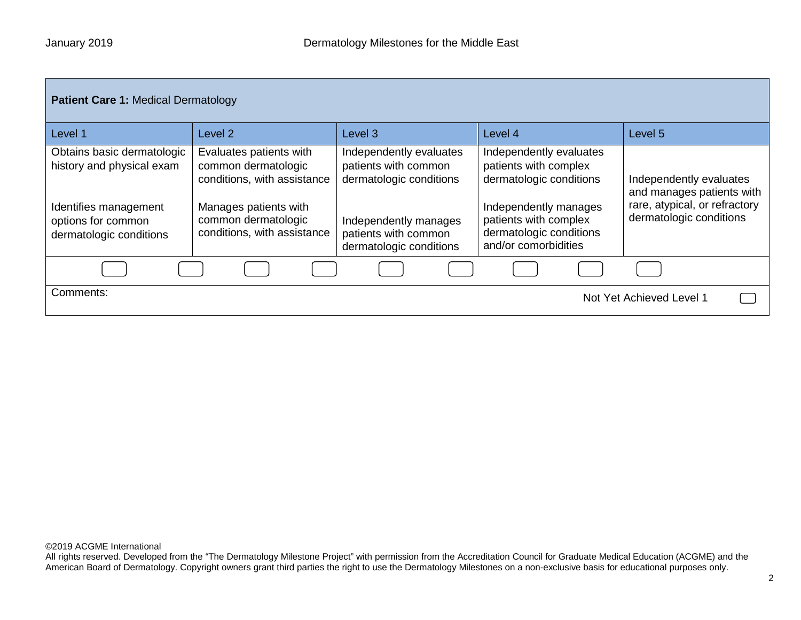| <b>Patient Care 1: Medical Dermatology</b>                                       |                                                                                                        |                                                                            |                                                                                                      |                                                                                       |
|----------------------------------------------------------------------------------|--------------------------------------------------------------------------------------------------------|----------------------------------------------------------------------------|------------------------------------------------------------------------------------------------------|---------------------------------------------------------------------------------------|
| Level 1                                                                          | Level 2                                                                                                | Level <sub>3</sub>                                                         | Level 4                                                                                              | Level 5                                                                               |
| Obtains basic dermatologic<br>history and physical exam<br>Identifies management | Evaluates patients with<br>common dermatologic<br>conditions, with assistance<br>Manages patients with | Independently evaluates<br>patients with common<br>dermatologic conditions | Independently evaluates<br>patients with complex<br>dermatologic conditions<br>Independently manages | Independently evaluates<br>and manages patients with<br>rare, atypical, or refractory |
| options for common<br>dermatologic conditions                                    | common dermatologic<br>conditions, with assistance                                                     | Independently manages<br>patients with common<br>dermatologic conditions   | patients with complex<br>dermatologic conditions<br>and/or comorbidities                             | dermatologic conditions                                                               |
|                                                                                  |                                                                                                        |                                                                            |                                                                                                      |                                                                                       |
| Comments:<br>Not Yet Achieved Level 1                                            |                                                                                                        |                                                                            |                                                                                                      |                                                                                       |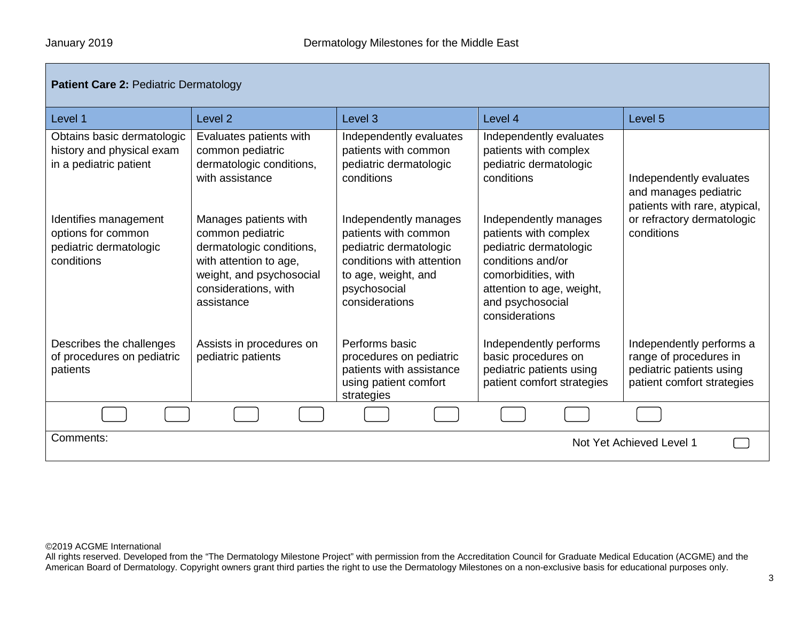| <b>Patient Care 2: Pediatric Dermatology</b>                                        |                                                                                                                                                                   |                                                                                                                                                               |                                                                                                                                                                                         |                                                                                                              |
|-------------------------------------------------------------------------------------|-------------------------------------------------------------------------------------------------------------------------------------------------------------------|---------------------------------------------------------------------------------------------------------------------------------------------------------------|-----------------------------------------------------------------------------------------------------------------------------------------------------------------------------------------|--------------------------------------------------------------------------------------------------------------|
| Level 1                                                                             | Level <sub>2</sub>                                                                                                                                                | Level <sub>3</sub>                                                                                                                                            | Level 4                                                                                                                                                                                 | Level <sub>5</sub>                                                                                           |
| Obtains basic dermatologic<br>history and physical exam<br>in a pediatric patient   | Evaluates patients with<br>common pediatric<br>dermatologic conditions,<br>with assistance                                                                        | Independently evaluates<br>patients with common<br>pediatric dermatologic<br>conditions                                                                       | Independently evaluates<br>patients with complex<br>pediatric dermatologic<br>conditions                                                                                                | Independently evaluates<br>and manages pediatric<br>patients with rare, atypical,                            |
| Identifies management<br>options for common<br>pediatric dermatologic<br>conditions | Manages patients with<br>common pediatric<br>dermatologic conditions,<br>with attention to age,<br>weight, and psychosocial<br>considerations, with<br>assistance | Independently manages<br>patients with common<br>pediatric dermatologic<br>conditions with attention<br>to age, weight, and<br>psychosocial<br>considerations | Independently manages<br>patients with complex<br>pediatric dermatologic<br>conditions and/or<br>comorbidities, with<br>attention to age, weight,<br>and psychosocial<br>considerations | or refractory dermatologic<br>conditions                                                                     |
| Describes the challenges<br>of procedures on pediatric<br>patients                  | Assists in procedures on<br>pediatric patients                                                                                                                    | Performs basic<br>procedures on pediatric<br>patients with assistance<br>using patient comfort<br>strategies                                                  | Independently performs<br>basic procedures on<br>pediatric patients using<br>patient comfort strategies                                                                                 | Independently performs a<br>range of procedures in<br>pediatric patients using<br>patient comfort strategies |
|                                                                                     |                                                                                                                                                                   |                                                                                                                                                               |                                                                                                                                                                                         |                                                                                                              |
| Comments:<br>Not Yet Achieved Level 1                                               |                                                                                                                                                                   |                                                                                                                                                               |                                                                                                                                                                                         |                                                                                                              |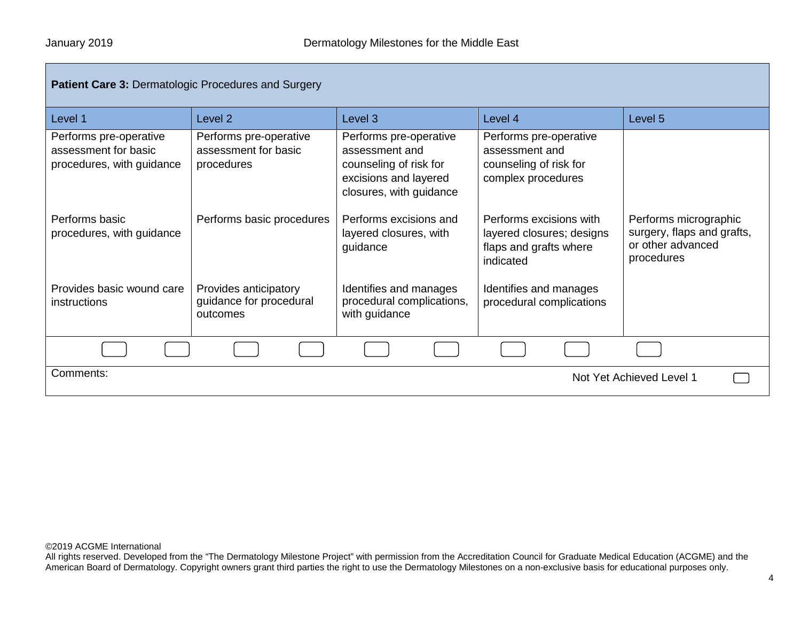| <b>Patient Care 3: Dermatologic Procedures and Surgery</b>                  |                                                              |                                                                                                                        |                                                                                             |                                                                                        |
|-----------------------------------------------------------------------------|--------------------------------------------------------------|------------------------------------------------------------------------------------------------------------------------|---------------------------------------------------------------------------------------------|----------------------------------------------------------------------------------------|
| Level 1                                                                     | Level <sub>2</sub>                                           | Level 3                                                                                                                | Level 4                                                                                     | Level 5                                                                                |
| Performs pre-operative<br>assessment for basic<br>procedures, with guidance | Performs pre-operative<br>assessment for basic<br>procedures | Performs pre-operative<br>assessment and<br>counseling of risk for<br>excisions and layered<br>closures, with guidance | Performs pre-operative<br>assessment and<br>counseling of risk for<br>complex procedures    |                                                                                        |
| Performs basic<br>procedures, with guidance                                 | Performs basic procedures                                    | Performs excisions and<br>layered closures, with<br>guidance                                                           | Performs excisions with<br>layered closures; designs<br>flaps and grafts where<br>indicated | Performs micrographic<br>surgery, flaps and grafts,<br>or other advanced<br>procedures |
| Provides basic wound care<br>instructions                                   | Provides anticipatory<br>guidance for procedural<br>outcomes | Identifies and manages<br>procedural complications,<br>with guidance                                                   | Identifies and manages<br>procedural complications                                          |                                                                                        |
|                                                                             |                                                              |                                                                                                                        |                                                                                             |                                                                                        |
| Comments:                                                                   |                                                              |                                                                                                                        |                                                                                             | Not Yet Achieved Level 1                                                               |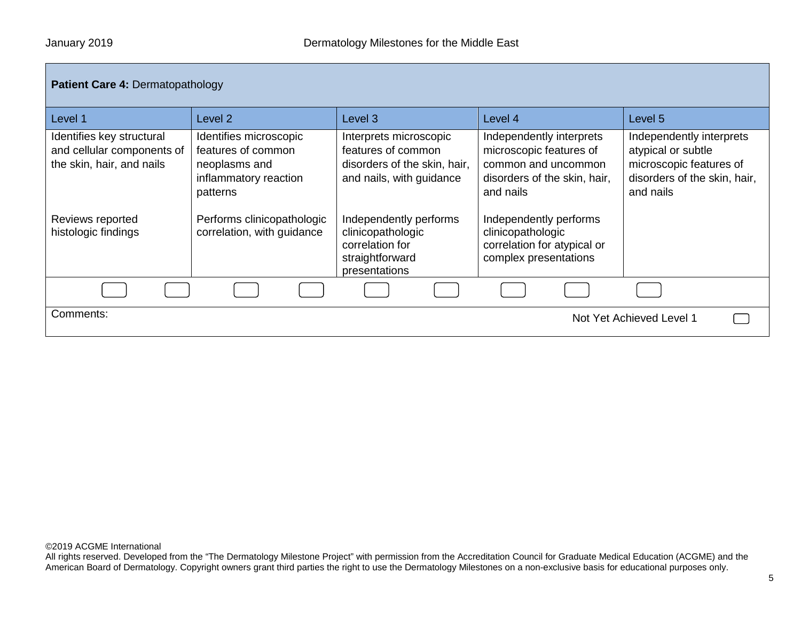| <b>Patient Care 4: Dermatopathology</b>                                              |                                                                                                    |                                                                                                          |                                                                                                                         |                                                                                                                        |  |
|--------------------------------------------------------------------------------------|----------------------------------------------------------------------------------------------------|----------------------------------------------------------------------------------------------------------|-------------------------------------------------------------------------------------------------------------------------|------------------------------------------------------------------------------------------------------------------------|--|
| Level 1                                                                              | Level 2                                                                                            | Level 3                                                                                                  | Level 4                                                                                                                 | Level 5                                                                                                                |  |
| Identifies key structural<br>and cellular components of<br>the skin, hair, and nails | Identifies microscopic<br>features of common<br>neoplasms and<br>inflammatory reaction<br>patterns | Interprets microscopic<br>features of common<br>disorders of the skin, hair,<br>and nails, with guidance | Independently interprets<br>microscopic features of<br>common and uncommon<br>disorders of the skin, hair,<br>and nails | Independently interprets<br>atypical or subtle<br>microscopic features of<br>disorders of the skin, hair,<br>and nails |  |
| Reviews reported<br>histologic findings                                              | Performs clinicopathologic<br>correlation, with guidance                                           | Independently performs<br>clinicopathologic<br>correlation for<br>straightforward<br>presentations       | Independently performs<br>clinicopathologic<br>correlation for atypical or<br>complex presentations                     |                                                                                                                        |  |
|                                                                                      |                                                                                                    |                                                                                                          |                                                                                                                         |                                                                                                                        |  |
| Comments:                                                                            |                                                                                                    |                                                                                                          |                                                                                                                         | Not Yet Achieved Level 1                                                                                               |  |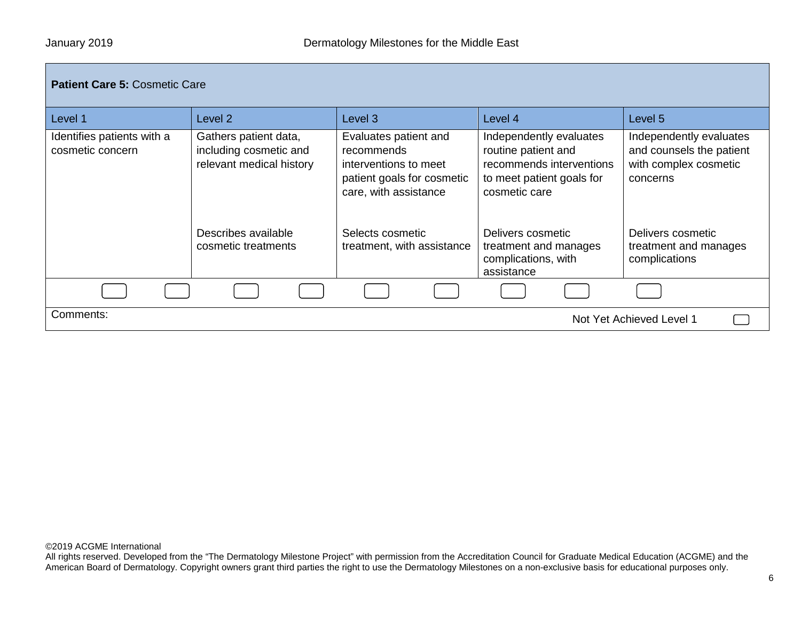## **Patient Care 5:** Cosmetic Care

| Level 1                                        | Level 2                                                                     | Level 3                                                                                                             | Level 4                                                                                                                  | Level 5                                                                                  |
|------------------------------------------------|-----------------------------------------------------------------------------|---------------------------------------------------------------------------------------------------------------------|--------------------------------------------------------------------------------------------------------------------------|------------------------------------------------------------------------------------------|
| Identifies patients with a<br>cosmetic concern | Gathers patient data,<br>including cosmetic and<br>relevant medical history | Evaluates patient and<br>recommends<br>interventions to meet<br>patient goals for cosmetic<br>care, with assistance | Independently evaluates<br>routine patient and<br>recommends interventions<br>to meet patient goals for<br>cosmetic care | Independently evaluates<br>and counsels the patient<br>with complex cosmetic<br>concerns |
|                                                | Describes available<br>cosmetic treatments                                  | Selects cosmetic<br>treatment, with assistance                                                                      | Delivers cosmetic<br>treatment and manages<br>complications, with<br>assistance                                          | Delivers cosmetic<br>treatment and manages<br>complications                              |
|                                                |                                                                             |                                                                                                                     |                                                                                                                          |                                                                                          |
| Comments:                                      |                                                                             |                                                                                                                     |                                                                                                                          | Not Yet Achieved Level 1                                                                 |

©2019 ACGME International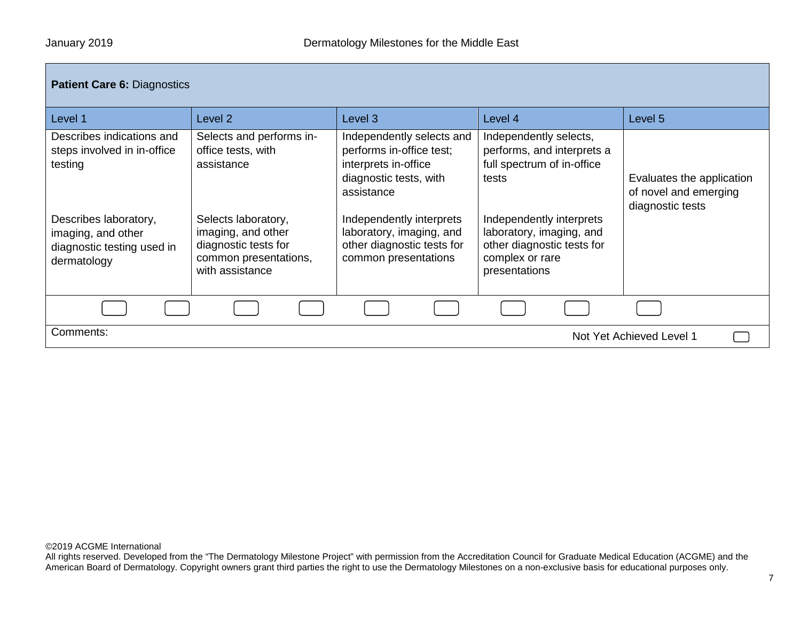| <b>Patient Care 6: Diagnostics</b>                                                       |                                                                                                               |                                                                                                                       |                                                                                                                        |                                                                        |  |
|------------------------------------------------------------------------------------------|---------------------------------------------------------------------------------------------------------------|-----------------------------------------------------------------------------------------------------------------------|------------------------------------------------------------------------------------------------------------------------|------------------------------------------------------------------------|--|
| Level 1                                                                                  | Level <sub>2</sub>                                                                                            | Level <sub>3</sub>                                                                                                    | Level 4                                                                                                                | Level 5                                                                |  |
| Describes indications and<br>steps involved in in-office<br>testing                      | Selects and performs in-<br>office tests, with<br>assistance                                                  | Independently selects and<br>performs in-office test;<br>interprets in-office<br>diagnostic tests, with<br>assistance | Independently selects,<br>performs, and interprets a<br>full spectrum of in-office<br>tests                            | Evaluates the application<br>of novel and emerging<br>diagnostic tests |  |
| Describes laboratory,<br>imaging, and other<br>diagnostic testing used in<br>dermatology | Selects laboratory,<br>imaging, and other<br>diagnostic tests for<br>common presentations,<br>with assistance | Independently interprets<br>laboratory, imaging, and<br>other diagnostic tests for<br>common presentations            | Independently interprets<br>laboratory, imaging, and<br>other diagnostic tests for<br>complex or rare<br>presentations |                                                                        |  |
|                                                                                          |                                                                                                               |                                                                                                                       |                                                                                                                        |                                                                        |  |
| Comments:<br>Not Yet Achieved Level 1                                                    |                                                                                                               |                                                                                                                       |                                                                                                                        |                                                                        |  |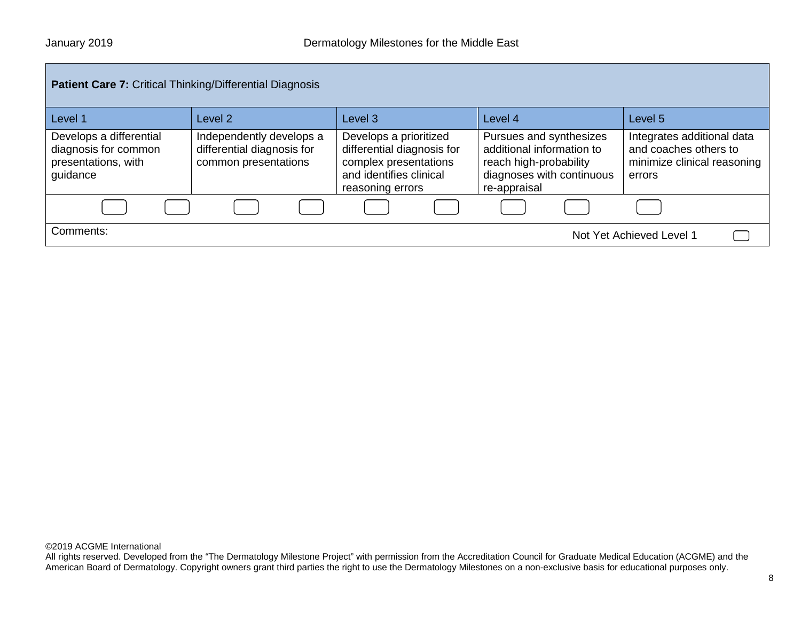| <b>Patient Care 7: Critical Thinking/Differential Diagnosis</b>                    |                                                                                |                                                                                                                              |                                                                                                                             |                                                                                              |
|------------------------------------------------------------------------------------|--------------------------------------------------------------------------------|------------------------------------------------------------------------------------------------------------------------------|-----------------------------------------------------------------------------------------------------------------------------|----------------------------------------------------------------------------------------------|
| Level 1                                                                            | Level <sub>2</sub>                                                             | Level <sub>3</sub>                                                                                                           | Level 4                                                                                                                     | Level 5                                                                                      |
| Develops a differential<br>diagnosis for common<br>presentations, with<br>guidance | Independently develops a<br>differential diagnosis for<br>common presentations | Develops a prioritized<br>differential diagnosis for<br>complex presentations<br>and identifies clinical<br>reasoning errors | Pursues and synthesizes<br>additional information to<br>reach high-probability<br>diagnoses with continuous<br>re-appraisal | Integrates additional data<br>and coaches others to<br>minimize clinical reasoning<br>errors |
|                                                                                    |                                                                                |                                                                                                                              |                                                                                                                             |                                                                                              |
| Comments:                                                                          |                                                                                |                                                                                                                              |                                                                                                                             | Not Yet Achieved Level 1                                                                     |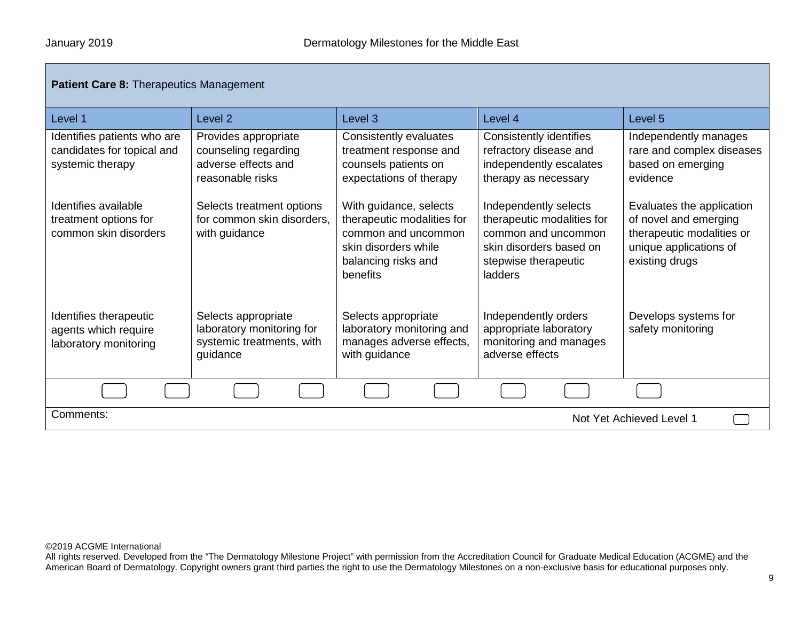| <b>Patient Care 8: Therapeutics Management</b>                                |                                                                                           |                                                                                                                                        |                                                                                                                                          |                                                                                                                             |
|-------------------------------------------------------------------------------|-------------------------------------------------------------------------------------------|----------------------------------------------------------------------------------------------------------------------------------------|------------------------------------------------------------------------------------------------------------------------------------------|-----------------------------------------------------------------------------------------------------------------------------|
| Level 1                                                                       | Level <sub>2</sub>                                                                        | Level <sub>3</sub>                                                                                                                     | Level 4                                                                                                                                  | Level <sub>5</sub>                                                                                                          |
| Identifies patients who are<br>candidates for topical and<br>systemic therapy | Provides appropriate<br>counseling regarding<br>adverse effects and<br>reasonable risks   | Consistently evaluates<br>treatment response and<br>counsels patients on<br>expectations of therapy                                    | <b>Consistently identifies</b><br>refractory disease and<br>independently escalates<br>therapy as necessary                              | Independently manages<br>rare and complex diseases<br>based on emerging<br>evidence                                         |
| Identifies available<br>treatment options for<br>common skin disorders        | Selects treatment options<br>for common skin disorders.<br>with guidance                  | With guidance, selects<br>therapeutic modalities for<br>common and uncommon<br>skin disorders while<br>balancing risks and<br>benefits | Independently selects<br>therapeutic modalities for<br>common and uncommon<br>skin disorders based on<br>stepwise therapeutic<br>ladders | Evaluates the application<br>of novel and emerging<br>therapeutic modalities or<br>unique applications of<br>existing drugs |
| Identifies therapeutic<br>agents which require<br>laboratory monitoring       | Selects appropriate<br>laboratory monitoring for<br>systemic treatments, with<br>guidance | Selects appropriate<br>laboratory monitoring and<br>manages adverse effects,<br>with guidance                                          | Independently orders<br>appropriate laboratory<br>monitoring and manages<br>adverse effects                                              | Develops systems for<br>safety monitoring                                                                                   |
|                                                                               |                                                                                           |                                                                                                                                        |                                                                                                                                          |                                                                                                                             |
| Comments:<br>Not Yet Achieved Level 1                                         |                                                                                           |                                                                                                                                        |                                                                                                                                          |                                                                                                                             |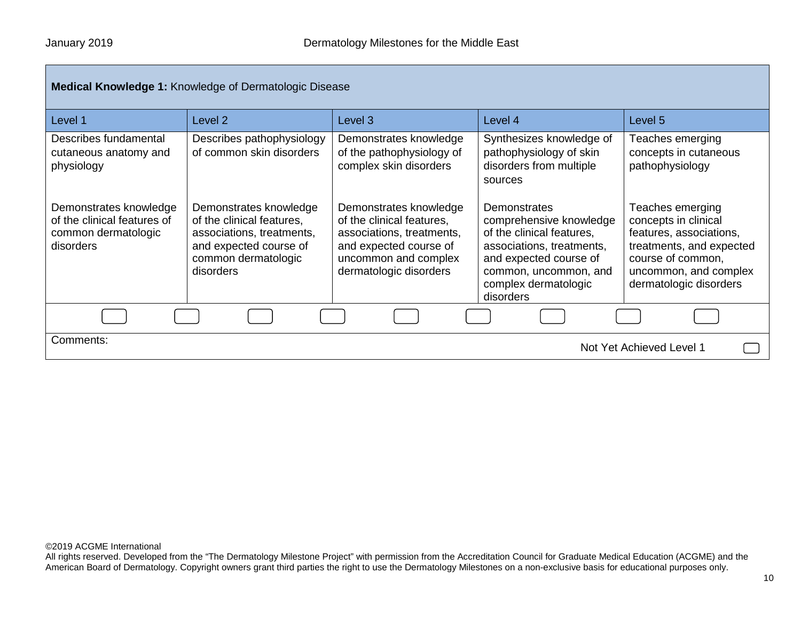| <b>Medical Knowledge 1: Knowledge of Dermatologic Disease</b>                             |                                                                                                                                                |                                                                                                                                                              |                                                                                                                                                                                           |                                                                                                                                                                         |
|-------------------------------------------------------------------------------------------|------------------------------------------------------------------------------------------------------------------------------------------------|--------------------------------------------------------------------------------------------------------------------------------------------------------------|-------------------------------------------------------------------------------------------------------------------------------------------------------------------------------------------|-------------------------------------------------------------------------------------------------------------------------------------------------------------------------|
| Level 1                                                                                   | Level 2                                                                                                                                        | Level <sub>3</sub>                                                                                                                                           | Level 4                                                                                                                                                                                   | Level 5                                                                                                                                                                 |
| Describes fundamental<br>cutaneous anatomy and<br>physiology                              | Describes pathophysiology<br>of common skin disorders                                                                                          | Demonstrates knowledge<br>of the pathophysiology of<br>complex skin disorders                                                                                | Synthesizes knowledge of<br>pathophysiology of skin<br>disorders from multiple<br>sources                                                                                                 | Teaches emerging<br>concepts in cutaneous<br>pathophysiology                                                                                                            |
| Demonstrates knowledge<br>of the clinical features of<br>common dermatologic<br>disorders | Demonstrates knowledge<br>of the clinical features,<br>associations, treatments,<br>and expected course of<br>common dermatologic<br>disorders | Demonstrates knowledge<br>of the clinical features,<br>associations, treatments,<br>and expected course of<br>uncommon and complex<br>dermatologic disorders | Demonstrates<br>comprehensive knowledge<br>of the clinical features,<br>associations, treatments,<br>and expected course of<br>common, uncommon, and<br>complex dermatologic<br>disorders | Teaches emerging<br>concepts in clinical<br>features, associations,<br>treatments, and expected<br>course of common,<br>uncommon, and complex<br>dermatologic disorders |
|                                                                                           |                                                                                                                                                |                                                                                                                                                              |                                                                                                                                                                                           |                                                                                                                                                                         |
| Comments:<br>Not Yet Achieved Level 1                                                     |                                                                                                                                                |                                                                                                                                                              |                                                                                                                                                                                           |                                                                                                                                                                         |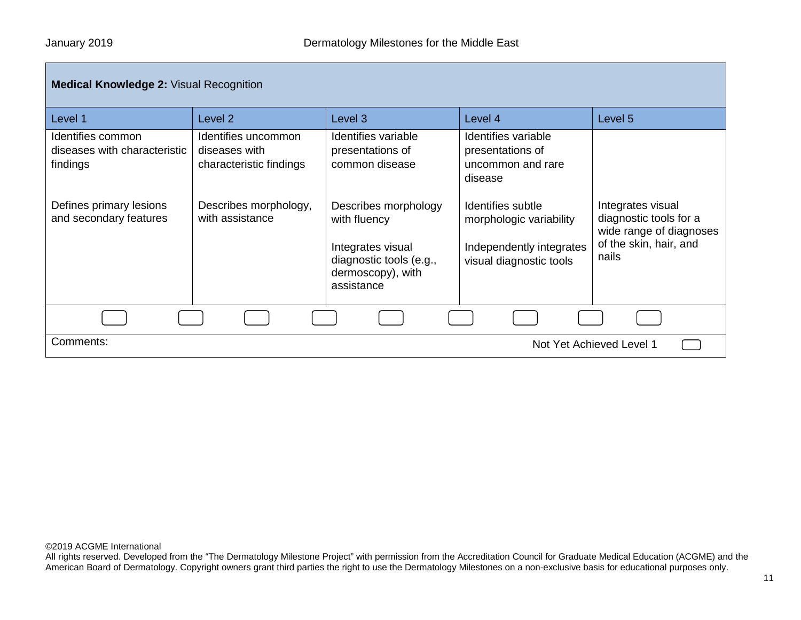| <b>Medical Knowledge 2: Visual Recognition</b>                |                                                                 |                                                                                                                         |                                                                                                     |                                                                                                           |
|---------------------------------------------------------------|-----------------------------------------------------------------|-------------------------------------------------------------------------------------------------------------------------|-----------------------------------------------------------------------------------------------------|-----------------------------------------------------------------------------------------------------------|
| Level 1                                                       | Level 2                                                         | Level 3                                                                                                                 | Level 4                                                                                             | Level 5                                                                                                   |
| Identifies common<br>diseases with characteristic<br>findings | Identifies uncommon<br>diseases with<br>characteristic findings | Identifies variable<br>presentations of<br>common disease                                                               | Identifies variable<br>presentations of<br>uncommon and rare<br>disease                             |                                                                                                           |
| Defines primary lesions<br>and secondary features             | Describes morphology,<br>with assistance                        | Describes morphology<br>with fluency<br>Integrates visual<br>diagnostic tools (e.g.,<br>dermoscopy), with<br>assistance | Identifies subtle<br>morphologic variability<br>Independently integrates<br>visual diagnostic tools | Integrates visual<br>diagnostic tools for a<br>wide range of diagnoses<br>of the skin, hair, and<br>nails |
|                                                               |                                                                 |                                                                                                                         |                                                                                                     |                                                                                                           |
| Comments:                                                     |                                                                 |                                                                                                                         |                                                                                                     | Not Yet Achieved Level 1                                                                                  |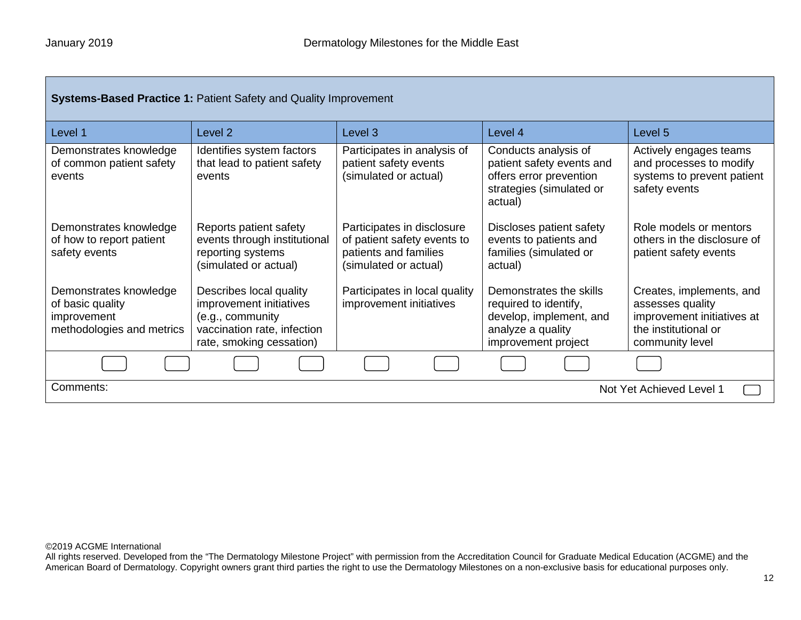| <b>Systems-Based Practice 1: Patient Safety and Quality Improvement</b>                |                                                                                                                                   |                                                                                                             |                                                                                                                         |                                                                                                                       |
|----------------------------------------------------------------------------------------|-----------------------------------------------------------------------------------------------------------------------------------|-------------------------------------------------------------------------------------------------------------|-------------------------------------------------------------------------------------------------------------------------|-----------------------------------------------------------------------------------------------------------------------|
| Level 1                                                                                | Level <sub>2</sub>                                                                                                                | Level <sub>3</sub>                                                                                          | Level 4                                                                                                                 | Level 5                                                                                                               |
| Demonstrates knowledge<br>of common patient safety<br>events                           | Identifies system factors<br>that lead to patient safety<br>events                                                                | Participates in analysis of<br>patient safety events<br>(simulated or actual)                               | Conducts analysis of<br>patient safety events and<br>offers error prevention<br>strategies (simulated or<br>actual)     | Actively engages teams<br>and processes to modify<br>systems to prevent patient<br>safety events                      |
| Demonstrates knowledge<br>of how to report patient<br>safety events                    | Reports patient safety<br>events through institutional<br>reporting systems<br>(simulated or actual)                              | Participates in disclosure<br>of patient safety events to<br>patients and families<br>(simulated or actual) | Discloses patient safety<br>events to patients and<br>families (simulated or<br>actual)                                 | Role models or mentors<br>others in the disclosure of<br>patient safety events                                        |
| Demonstrates knowledge<br>of basic quality<br>improvement<br>methodologies and metrics | Describes local quality<br>improvement initiatives<br>(e.g., community<br>vaccination rate, infection<br>rate, smoking cessation) | Participates in local quality<br>improvement initiatives                                                    | Demonstrates the skills<br>required to identify,<br>develop, implement, and<br>analyze a quality<br>improvement project | Creates, implements, and<br>assesses quality<br>improvement initiatives at<br>the institutional or<br>community level |
|                                                                                        |                                                                                                                                   |                                                                                                             |                                                                                                                         |                                                                                                                       |
| Comments:<br>Not Yet Achieved Level 1                                                  |                                                                                                                                   |                                                                                                             |                                                                                                                         |                                                                                                                       |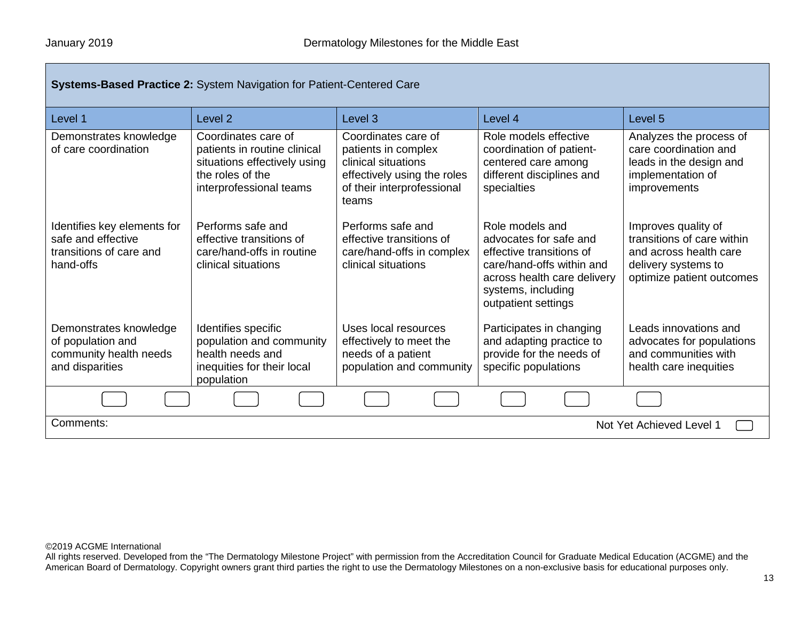| <b>Systems-Based Practice 2: System Navigation for Patient-Centered Care</b>              |                                                                                                                                    |                                                                                                                                         |                                                                                                                                                                                |                                                                                                                                 |  |  |
|-------------------------------------------------------------------------------------------|------------------------------------------------------------------------------------------------------------------------------------|-----------------------------------------------------------------------------------------------------------------------------------------|--------------------------------------------------------------------------------------------------------------------------------------------------------------------------------|---------------------------------------------------------------------------------------------------------------------------------|--|--|
| Level 1                                                                                   | Level <sub>2</sub>                                                                                                                 | Level <sub>3</sub>                                                                                                                      | Level 4                                                                                                                                                                        | Level 5                                                                                                                         |  |  |
| Demonstrates knowledge<br>of care coordination                                            | Coordinates care of<br>patients in routine clinical<br>situations effectively using<br>the roles of the<br>interprofessional teams | Coordinates care of<br>patients in complex<br>clinical situations<br>effectively using the roles<br>of their interprofessional<br>teams | Role models effective<br>coordination of patient-<br>centered care among<br>different disciplines and<br>specialties                                                           | Analyzes the process of<br>care coordination and<br>leads in the design and<br>implementation of<br>improvements                |  |  |
| Identifies key elements for<br>safe and effective<br>transitions of care and<br>hand-offs | Performs safe and<br>effective transitions of<br>care/hand-offs in routine<br>clinical situations                                  | Performs safe and<br>effective transitions of<br>care/hand-offs in complex<br>clinical situations                                       | Role models and<br>advocates for safe and<br>effective transitions of<br>care/hand-offs within and<br>across health care delivery<br>systems, including<br>outpatient settings | Improves quality of<br>transitions of care within<br>and across health care<br>delivery systems to<br>optimize patient outcomes |  |  |
| Demonstrates knowledge<br>of population and<br>community health needs<br>and disparities  | Identifies specific<br>population and community<br>health needs and<br>inequities for their local<br>population                    | Uses local resources<br>effectively to meet the<br>needs of a patient<br>population and community                                       | Participates in changing<br>and adapting practice to<br>provide for the needs of<br>specific populations                                                                       | Leads innovations and<br>advocates for populations<br>and communities with<br>health care inequities                            |  |  |
|                                                                                           |                                                                                                                                    |                                                                                                                                         |                                                                                                                                                                                |                                                                                                                                 |  |  |
| Comments:<br>Not Yet Achieved Level 1                                                     |                                                                                                                                    |                                                                                                                                         |                                                                                                                                                                                |                                                                                                                                 |  |  |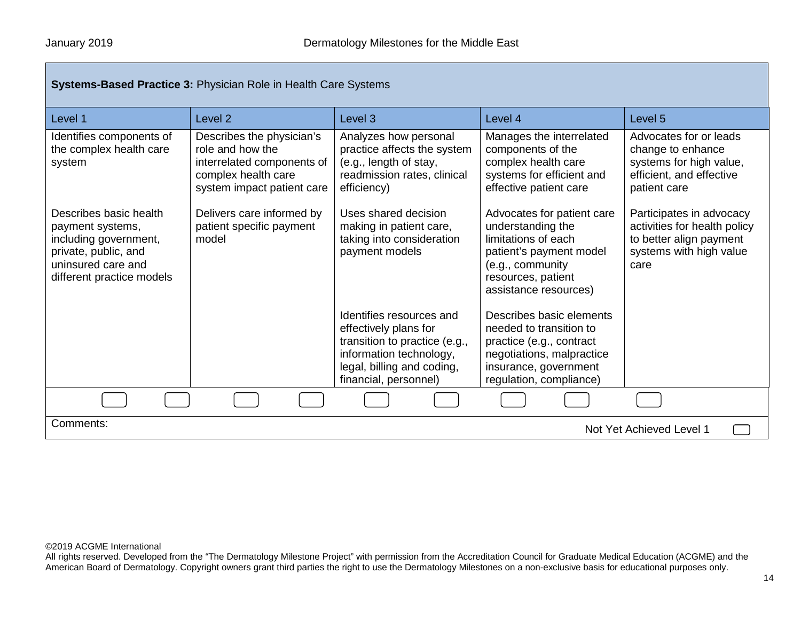| <b>Systems-Based Practice 3: Physician Role in Health Care Systems</b>                                                                         |                                                                                                                                  |                                                                                                                                                                      |                                                                                                                                                                      |                                                                                                                        |  |  |
|------------------------------------------------------------------------------------------------------------------------------------------------|----------------------------------------------------------------------------------------------------------------------------------|----------------------------------------------------------------------------------------------------------------------------------------------------------------------|----------------------------------------------------------------------------------------------------------------------------------------------------------------------|------------------------------------------------------------------------------------------------------------------------|--|--|
| Level 1                                                                                                                                        | Level <sub>2</sub>                                                                                                               | Level <sub>3</sub>                                                                                                                                                   | Level 4                                                                                                                                                              | Level 5                                                                                                                |  |  |
| Identifies components of<br>the complex health care<br>system                                                                                  | Describes the physician's<br>role and how the<br>interrelated components of<br>complex health care<br>system impact patient care | Analyzes how personal<br>practice affects the system<br>(e.g., length of stay,<br>readmission rates, clinical<br>efficiency)                                         | Manages the interrelated<br>components of the<br>complex health care<br>systems for efficient and<br>effective patient care                                          | Advocates for or leads<br>change to enhance<br>systems for high value,<br>efficient, and effective<br>patient care     |  |  |
| Describes basic health<br>payment systems,<br>including government,<br>private, public, and<br>uninsured care and<br>different practice models | Delivers care informed by<br>patient specific payment<br>model                                                                   | Uses shared decision<br>making in patient care,<br>taking into consideration<br>payment models                                                                       | Advocates for patient care<br>understanding the<br>limitations of each<br>patient's payment model<br>(e.g., community<br>resources, patient<br>assistance resources) | Participates in advocacy<br>activities for health policy<br>to better align payment<br>systems with high value<br>care |  |  |
|                                                                                                                                                |                                                                                                                                  | Identifies resources and<br>effectively plans for<br>transition to practice (e.g.,<br>information technology,<br>legal, billing and coding,<br>financial, personnel) | Describes basic elements<br>needed to transition to<br>practice (e.g., contract<br>negotiations, malpractice<br>insurance, government<br>regulation, compliance)     |                                                                                                                        |  |  |
|                                                                                                                                                |                                                                                                                                  |                                                                                                                                                                      |                                                                                                                                                                      |                                                                                                                        |  |  |
| Comments:                                                                                                                                      |                                                                                                                                  |                                                                                                                                                                      |                                                                                                                                                                      | Not Yet Achieved Level 1                                                                                               |  |  |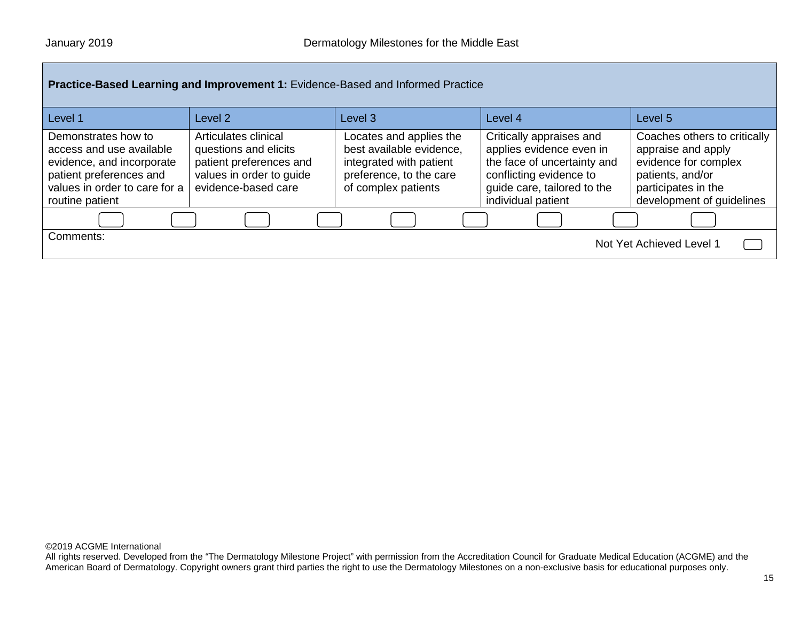| Practice-Based Learning and Improvement 1: Evidence-Based and Informed Practice                                                                             |                                                                                                                             |                                                                                                                                  |                                                                                                                                                                     |                                                                                                                                                    |  |  |
|-------------------------------------------------------------------------------------------------------------------------------------------------------------|-----------------------------------------------------------------------------------------------------------------------------|----------------------------------------------------------------------------------------------------------------------------------|---------------------------------------------------------------------------------------------------------------------------------------------------------------------|----------------------------------------------------------------------------------------------------------------------------------------------------|--|--|
| Level 1                                                                                                                                                     | Level <sub>2</sub>                                                                                                          | Level 3                                                                                                                          | Level 4                                                                                                                                                             | Level <sub>5</sub>                                                                                                                                 |  |  |
| Demonstrates how to<br>access and use available<br>evidence, and incorporate<br>patient preferences and<br>values in order to care for a<br>routine patient | Articulates clinical<br>questions and elicits<br>patient preferences and<br>values in order to guide<br>evidence-based care | Locates and applies the<br>best available evidence,<br>integrated with patient<br>preference, to the care<br>of complex patients | Critically appraises and<br>applies evidence even in<br>the face of uncertainty and<br>conflicting evidence to<br>guide care, tailored to the<br>individual patient | Coaches others to critically<br>appraise and apply<br>evidence for complex<br>patients, and/or<br>participates in the<br>development of guidelines |  |  |
|                                                                                                                                                             |                                                                                                                             |                                                                                                                                  |                                                                                                                                                                     |                                                                                                                                                    |  |  |
| Comments:                                                                                                                                                   |                                                                                                                             |                                                                                                                                  |                                                                                                                                                                     | Not Yet Achieved Level 1                                                                                                                           |  |  |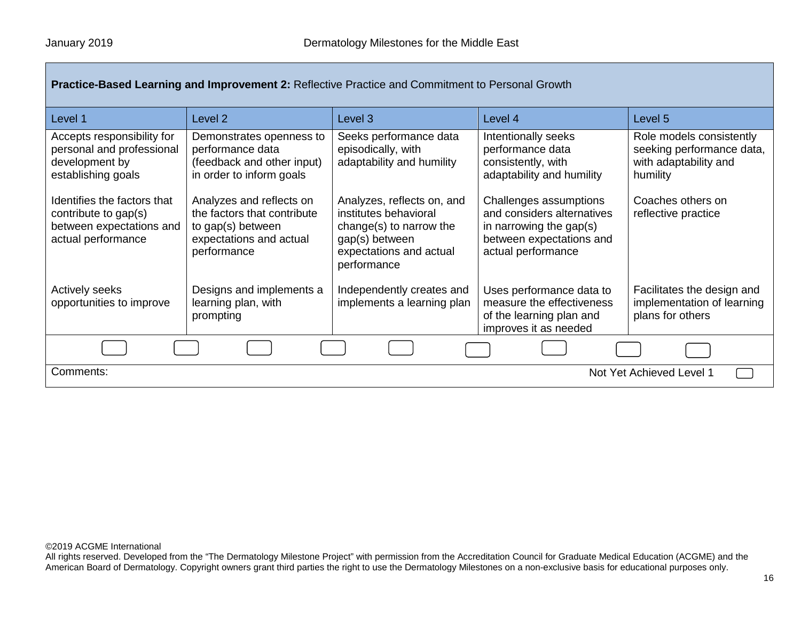| Level 1                                                                                               | Level 2                                                                                                                | Level 3                                                                                                                                    | Level 4                                                                                                                           | Level <sub>5</sub>                                                                         |
|-------------------------------------------------------------------------------------------------------|------------------------------------------------------------------------------------------------------------------------|--------------------------------------------------------------------------------------------------------------------------------------------|-----------------------------------------------------------------------------------------------------------------------------------|--------------------------------------------------------------------------------------------|
| Accepts responsibility for<br>personal and professional<br>development by<br>establishing goals       | Demonstrates openness to<br>performance data<br>(feedback and other input)<br>in order to inform goals                 | Seeks performance data<br>episodically, with<br>adaptability and humility                                                                  | Intentionally seeks<br>performance data<br>consistently, with<br>adaptability and humility                                        | Role models consistently<br>seeking performance data,<br>with adaptability and<br>humility |
| Identifies the factors that<br>contribute to gap(s)<br>between expectations and<br>actual performance | Analyzes and reflects on<br>the factors that contribute<br>to gap(s) between<br>expectations and actual<br>performance | Analyzes, reflects on, and<br>institutes behavioral<br>change(s) to narrow the<br>gap(s) between<br>expectations and actual<br>performance | Challenges assumptions<br>and considers alternatives<br>in narrowing the gap(s)<br>between expectations and<br>actual performance | Coaches others on<br>reflective practice                                                   |
| <b>Actively seeks</b><br>opportunities to improve                                                     | Designs and implements a<br>learning plan, with<br>prompting                                                           | Independently creates and<br>implements a learning plan                                                                                    | Uses performance data to<br>measure the effectiveness<br>of the learning plan and<br>improves it as needed                        | Facilitates the design and<br>implementation of learning<br>plans for others               |
|                                                                                                       |                                                                                                                        |                                                                                                                                            |                                                                                                                                   |                                                                                            |
| Comments:<br>Not Yet Achieved Level 1                                                                 |                                                                                                                        |                                                                                                                                            |                                                                                                                                   |                                                                                            |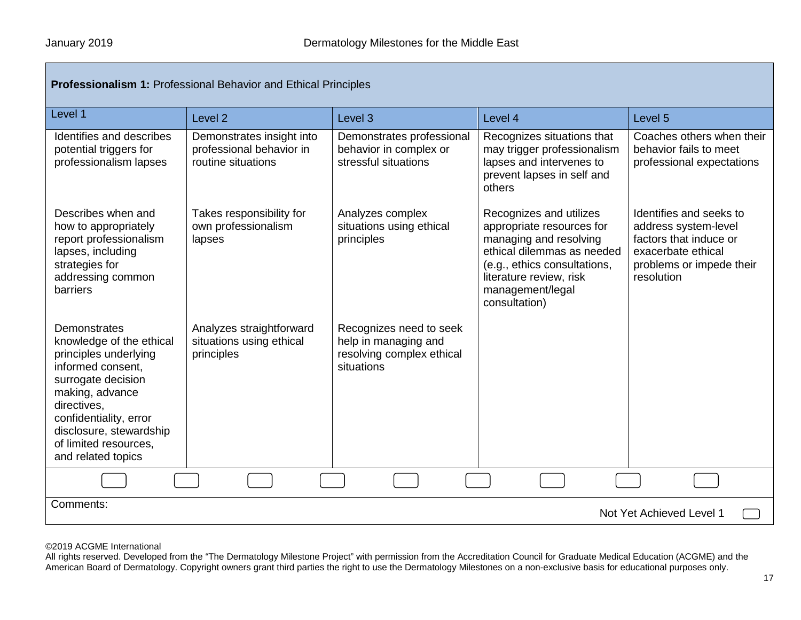| <b>Professionalism 1: Professional Behavior and Ethical Principles</b>                                                                                                                                                                                    |                                                                             |                                                                                            |                                                                                                                                                                                                              |                                                                                                                                           |  |  |
|-----------------------------------------------------------------------------------------------------------------------------------------------------------------------------------------------------------------------------------------------------------|-----------------------------------------------------------------------------|--------------------------------------------------------------------------------------------|--------------------------------------------------------------------------------------------------------------------------------------------------------------------------------------------------------------|-------------------------------------------------------------------------------------------------------------------------------------------|--|--|
| Level 1                                                                                                                                                                                                                                                   | Level <sub>2</sub>                                                          | Level 3                                                                                    | Level 4                                                                                                                                                                                                      | Level 5                                                                                                                                   |  |  |
| Identifies and describes<br>potential triggers for<br>professionalism lapses                                                                                                                                                                              | Demonstrates insight into<br>professional behavior in<br>routine situations | Demonstrates professional<br>behavior in complex or<br>stressful situations                | Recognizes situations that<br>may trigger professionalism<br>lapses and intervenes to<br>prevent lapses in self and<br>others                                                                                | Coaches others when their<br>behavior fails to meet<br>professional expectations                                                          |  |  |
| Describes when and<br>how to appropriately<br>report professionalism<br>lapses, including<br>strategies for<br>addressing common<br>barriers                                                                                                              | Takes responsibility for<br>own professionalism<br>lapses                   | Analyzes complex<br>situations using ethical<br>principles                                 | Recognizes and utilizes<br>appropriate resources for<br>managing and resolving<br>ethical dilemmas as needed<br>(e.g., ethics consultations,<br>literature review, risk<br>management/legal<br>consultation) | Identifies and seeks to<br>address system-level<br>factors that induce or<br>exacerbate ethical<br>problems or impede their<br>resolution |  |  |
| <b>Demonstrates</b><br>knowledge of the ethical<br>principles underlying<br>informed consent.<br>surrogate decision<br>making, advance<br>directives,<br>confidentiality, error<br>disclosure, stewardship<br>of limited resources.<br>and related topics | Analyzes straightforward<br>situations using ethical<br>principles          | Recognizes need to seek<br>help in managing and<br>resolving complex ethical<br>situations |                                                                                                                                                                                                              |                                                                                                                                           |  |  |
|                                                                                                                                                                                                                                                           |                                                                             |                                                                                            |                                                                                                                                                                                                              |                                                                                                                                           |  |  |
| Comments:<br>Not Yet Achieved Level 1                                                                                                                                                                                                                     |                                                                             |                                                                                            |                                                                                                                                                                                                              |                                                                                                                                           |  |  |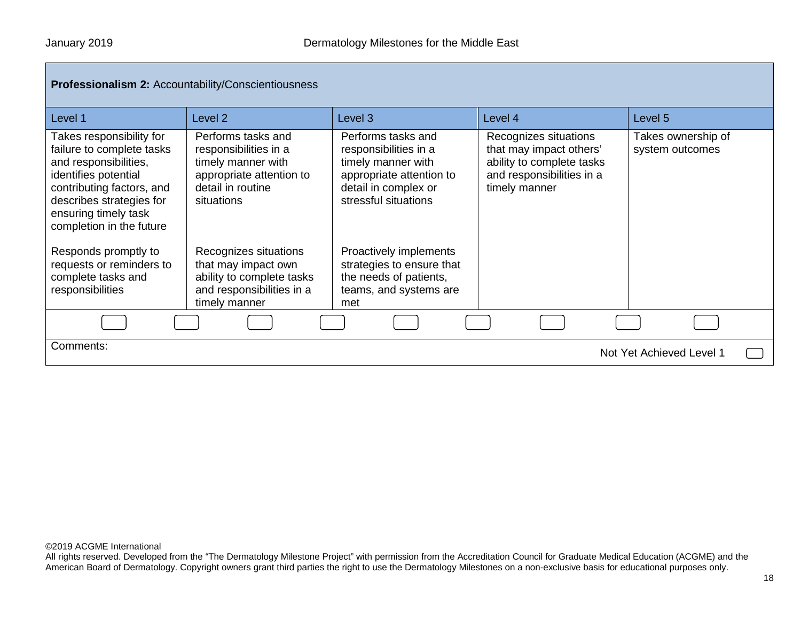| Level 1                                                                                                                                                                                                             | Level <sub>2</sub>                                                                                                               | Level 3                                                                                                                                       | Level 4                                                                                                                     | Level 5                               |
|---------------------------------------------------------------------------------------------------------------------------------------------------------------------------------------------------------------------|----------------------------------------------------------------------------------------------------------------------------------|-----------------------------------------------------------------------------------------------------------------------------------------------|-----------------------------------------------------------------------------------------------------------------------------|---------------------------------------|
| Takes responsibility for<br>failure to complete tasks<br>and responsibilities,<br>identifies potential<br>contributing factors, and<br>describes strategies for<br>ensuring timely task<br>completion in the future | Performs tasks and<br>responsibilities in a<br>timely manner with<br>appropriate attention to<br>detail in routine<br>situations | Performs tasks and<br>responsibilities in a<br>timely manner with<br>appropriate attention to<br>detail in complex or<br>stressful situations | Recognizes situations<br>that may impact others'<br>ability to complete tasks<br>and responsibilities in a<br>timely manner | Takes ownership of<br>system outcomes |
| Responds promptly to<br>requests or reminders to<br>complete tasks and<br>responsibilities                                                                                                                          | Recognizes situations<br>that may impact own<br>ability to complete tasks<br>and responsibilities in a<br>timely manner          | Proactively implements<br>strategies to ensure that<br>the needs of patients,<br>teams, and systems are<br>met                                |                                                                                                                             |                                       |
|                                                                                                                                                                                                                     |                                                                                                                                  |                                                                                                                                               |                                                                                                                             |                                       |
| Comments:                                                                                                                                                                                                           |                                                                                                                                  |                                                                                                                                               |                                                                                                                             | Not Yet Achieved Level 1              |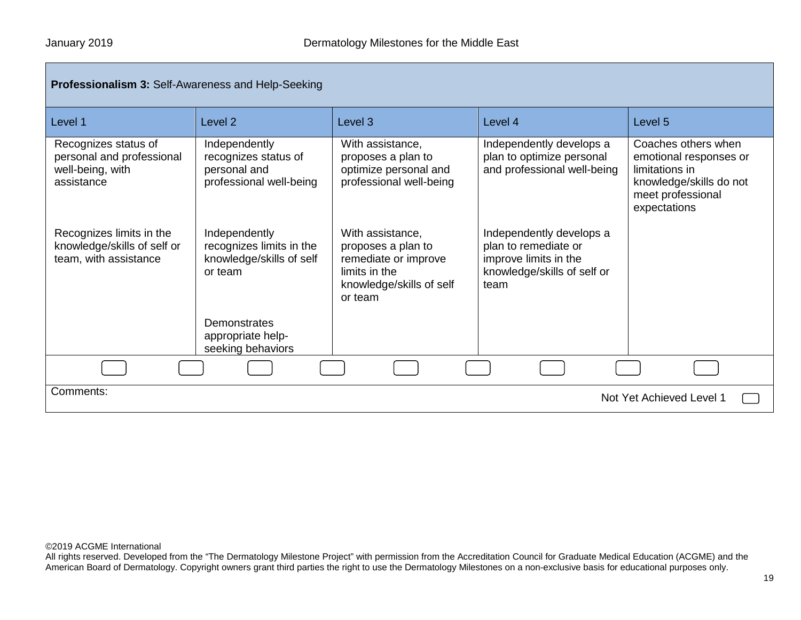| <b>Professionalism 3: Self-Awareness and Help-Seeking</b>                           |                                                                                  |                                                                                                                        |                                                                                                                  |                                                                                                                                 |  |  |
|-------------------------------------------------------------------------------------|----------------------------------------------------------------------------------|------------------------------------------------------------------------------------------------------------------------|------------------------------------------------------------------------------------------------------------------|---------------------------------------------------------------------------------------------------------------------------------|--|--|
| Level 1                                                                             | Level <sub>2</sub>                                                               | Level <sub>3</sub>                                                                                                     | Level 4                                                                                                          | Level <sub>5</sub>                                                                                                              |  |  |
| Recognizes status of<br>personal and professional<br>well-being, with<br>assistance | Independently<br>recognizes status of<br>personal and<br>professional well-being | With assistance,<br>proposes a plan to<br>optimize personal and<br>professional well-being                             | Independently develops a<br>plan to optimize personal<br>and professional well-being                             | Coaches others when<br>emotional responses or<br>limitations in<br>knowledge/skills do not<br>meet professional<br>expectations |  |  |
| Recognizes limits in the<br>knowledge/skills of self or<br>team, with assistance    | Independently<br>recognizes limits in the<br>knowledge/skills of self<br>or team | With assistance,<br>proposes a plan to<br>remediate or improve<br>limits in the<br>knowledge/skills of self<br>or team | Independently develops a<br>plan to remediate or<br>improve limits in the<br>knowledge/skills of self or<br>team |                                                                                                                                 |  |  |
|                                                                                     | Demonstrates<br>appropriate help-<br>seeking behaviors                           |                                                                                                                        |                                                                                                                  |                                                                                                                                 |  |  |
|                                                                                     |                                                                                  |                                                                                                                        |                                                                                                                  |                                                                                                                                 |  |  |
| Comments:<br>Not Yet Achieved Level 1                                               |                                                                                  |                                                                                                                        |                                                                                                                  |                                                                                                                                 |  |  |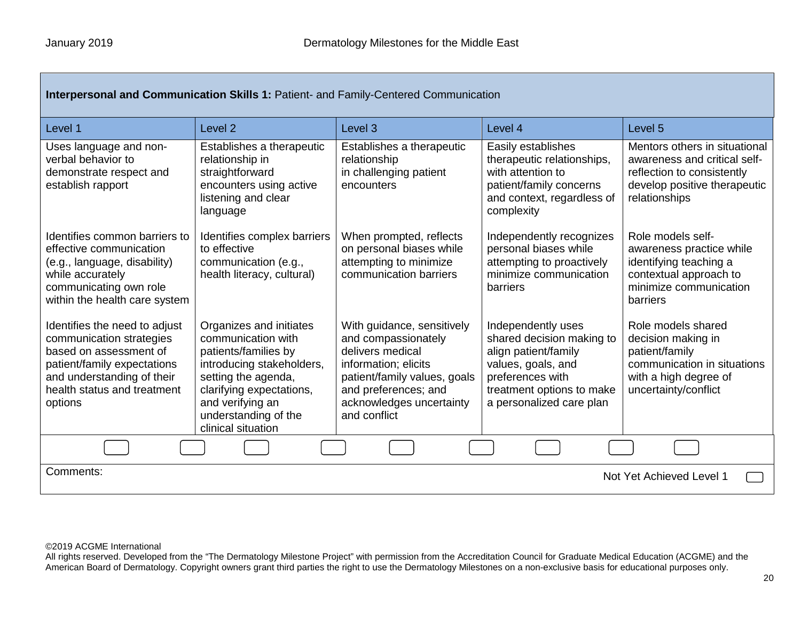| Interpersonal and Communication Skills 1: Patient- and Family-Centered Communication                                                                                                       |                                                                                                                                                                                                                         |                                                                                                                                                                                                   |                                                                                                                                                                            |                                                                                                                                              |  |
|--------------------------------------------------------------------------------------------------------------------------------------------------------------------------------------------|-------------------------------------------------------------------------------------------------------------------------------------------------------------------------------------------------------------------------|---------------------------------------------------------------------------------------------------------------------------------------------------------------------------------------------------|----------------------------------------------------------------------------------------------------------------------------------------------------------------------------|----------------------------------------------------------------------------------------------------------------------------------------------|--|
| Level 1                                                                                                                                                                                    | Level <sub>2</sub>                                                                                                                                                                                                      | Level <sub>3</sub>                                                                                                                                                                                | Level 4                                                                                                                                                                    | Level <sub>5</sub>                                                                                                                           |  |
| Uses language and non-<br>verbal behavior to<br>demonstrate respect and<br>establish rapport                                                                                               | Establishes a therapeutic<br>relationship in<br>straightforward<br>encounters using active<br>listening and clear<br>language                                                                                           | Establishes a therapeutic<br>relationship<br>in challenging patient<br>encounters                                                                                                                 | Easily establishes<br>therapeutic relationships,<br>with attention to<br>patient/family concerns<br>and context, regardless of<br>complexity                               | Mentors others in situational<br>awareness and critical self-<br>reflection to consistently<br>develop positive therapeutic<br>relationships |  |
| Identifies common barriers to<br>effective communication<br>(e.g., language, disability)<br>while accurately<br>communicating own role<br>within the health care system                    | Identifies complex barriers<br>to effective<br>communication (e.g.,<br>health literacy, cultural)                                                                                                                       | When prompted, reflects<br>on personal biases while<br>attempting to minimize<br>communication barriers                                                                                           | Independently recognizes<br>personal biases while<br>attempting to proactively<br>minimize communication<br>barriers                                                       | Role models self-<br>awareness practice while<br>identifying teaching a<br>contextual approach to<br>minimize communication<br>barriers      |  |
| Identifies the need to adjust<br>communication strategies<br>based on assessment of<br>patient/family expectations<br>and understanding of their<br>health status and treatment<br>options | Organizes and initiates<br>communication with<br>patients/families by<br>introducing stakeholders,<br>setting the agenda,<br>clarifying expectations,<br>and verifying an<br>understanding of the<br>clinical situation | With guidance, sensitively<br>and compassionately<br>delivers medical<br>information; elicits<br>patient/family values, goals<br>and preferences; and<br>acknowledges uncertainty<br>and conflict | Independently uses<br>shared decision making to<br>align patient/family<br>values, goals, and<br>preferences with<br>treatment options to make<br>a personalized care plan | Role models shared<br>decision making in<br>patient/family<br>communication in situations<br>with a high degree of<br>uncertainty/conflict   |  |
|                                                                                                                                                                                            |                                                                                                                                                                                                                         |                                                                                                                                                                                                   |                                                                                                                                                                            |                                                                                                                                              |  |
| Comments:<br>Not Yet Achieved Level 1                                                                                                                                                      |                                                                                                                                                                                                                         |                                                                                                                                                                                                   |                                                                                                                                                                            |                                                                                                                                              |  |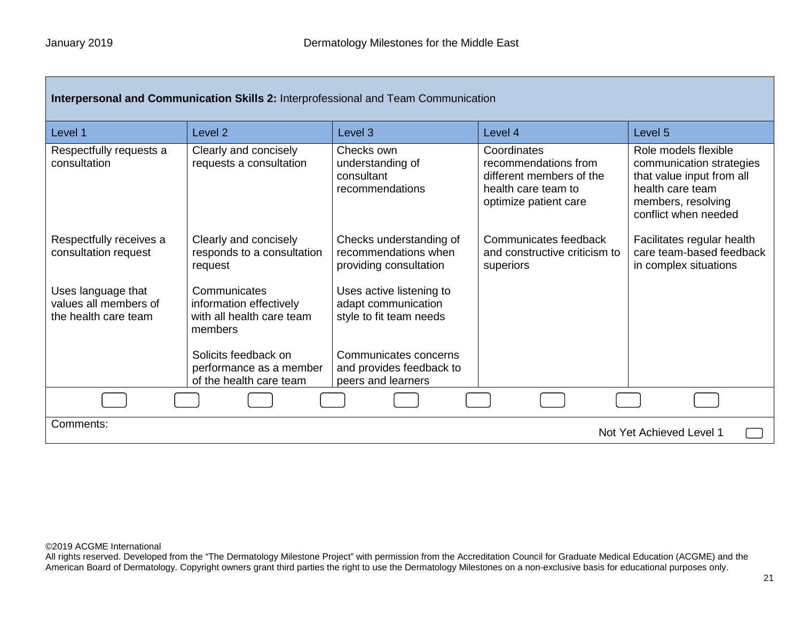| Interpersonal and Communication Skills 2: Interprofessional and Team Communication |                                                                                 |                                                                            |                                                                                                                 |                                                                                                                                                 |  |
|------------------------------------------------------------------------------------|---------------------------------------------------------------------------------|----------------------------------------------------------------------------|-----------------------------------------------------------------------------------------------------------------|-------------------------------------------------------------------------------------------------------------------------------------------------|--|
| Level 1                                                                            | Level <sub>2</sub>                                                              | Level <sub>3</sub>                                                         | Level 4                                                                                                         | Level 5                                                                                                                                         |  |
| Respectfully requests a<br>consultation                                            | Clearly and concisely<br>requests a consultation                                | Checks own<br>understanding of<br>consultant<br>recommendations            | Coordinates<br>recommendations from<br>different members of the<br>health care team to<br>optimize patient care | Role models flexible<br>communication strategies<br>that value input from all<br>health care team<br>members, resolving<br>conflict when needed |  |
| Respectfully receives a<br>consultation request                                    | Clearly and concisely<br>responds to a consultation<br>request                  | Checks understanding of<br>recommendations when<br>providing consultation  | Communicates feedback<br>and constructive criticism to<br>superiors                                             | Facilitates regular health<br>care team-based feedback<br>in complex situations                                                                 |  |
| Uses language that<br>values all members of<br>the health care team                | Communicates<br>information effectively<br>with all health care team<br>members | Uses active listening to<br>adapt communication<br>style to fit team needs |                                                                                                                 |                                                                                                                                                 |  |
|                                                                                    | Solicits feedback on<br>performance as a member<br>of the health care team      | Communicates concerns<br>and provides feedback to<br>peers and learners    |                                                                                                                 |                                                                                                                                                 |  |
|                                                                                    |                                                                                 |                                                                            |                                                                                                                 |                                                                                                                                                 |  |
| Comments:<br>Not Yet Achieved Level 1                                              |                                                                                 |                                                                            |                                                                                                                 |                                                                                                                                                 |  |